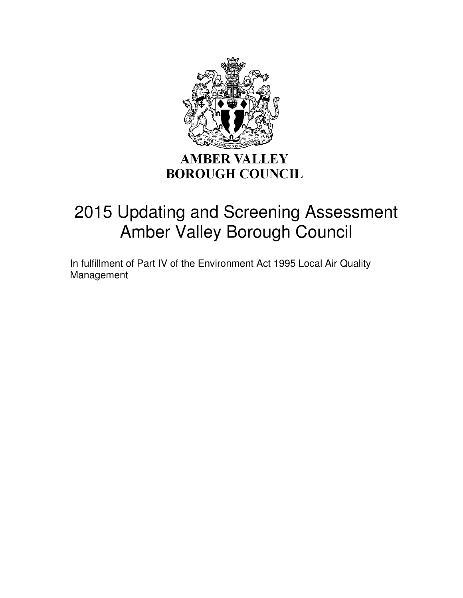

# **BOROUGH COUNCIL**

# 2015 Updating and Screening Assessment Amber Valley Borough Council

In fulfillment of Part IV of the Environment Act 1995 Local Air Quality Management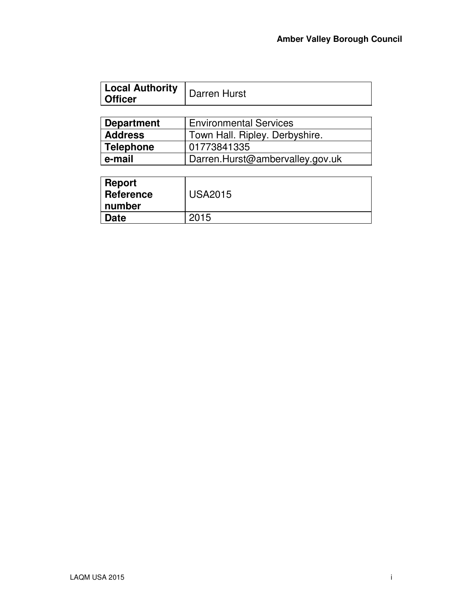|         | Local Authority   Darren Hurst |
|---------|--------------------------------|
| Officer |                                |

| Department     | <b>Environmental Services</b>   |  |
|----------------|---------------------------------|--|
| <b>Address</b> | Town Hall. Ripley. Derbyshire.  |  |
| Telephone      | 01773841335                     |  |
| e-mail         | Darren.Hurst@ambervalley.gov.uk |  |

| <b>Report</b><br>Reference<br>  number | <b>USA2015</b> |
|----------------------------------------|----------------|
| <b>Date</b>                            | 2015           |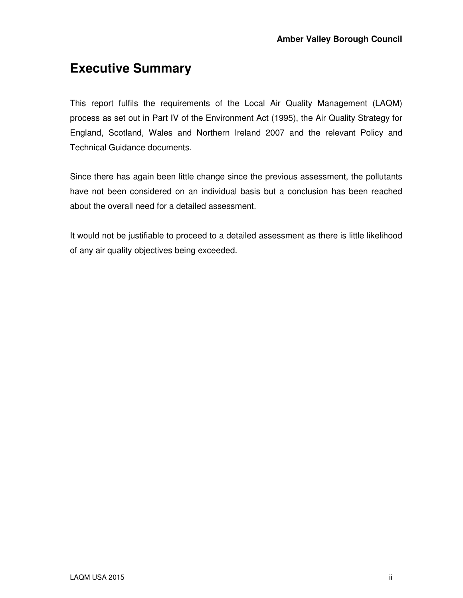### **Executive Summary**

This report fulfils the requirements of the Local Air Quality Management (LAQM) process as set out in Part IV of the Environment Act (1995), the Air Quality Strategy for England, Scotland, Wales and Northern Ireland 2007 and the relevant Policy and Technical Guidance documents.

Since there has again been little change since the previous assessment, the pollutants have not been considered on an individual basis but a conclusion has been reached about the overall need for a detailed assessment.

It would not be justifiable to proceed to a detailed assessment as there is little likelihood of any air quality objectives being exceeded.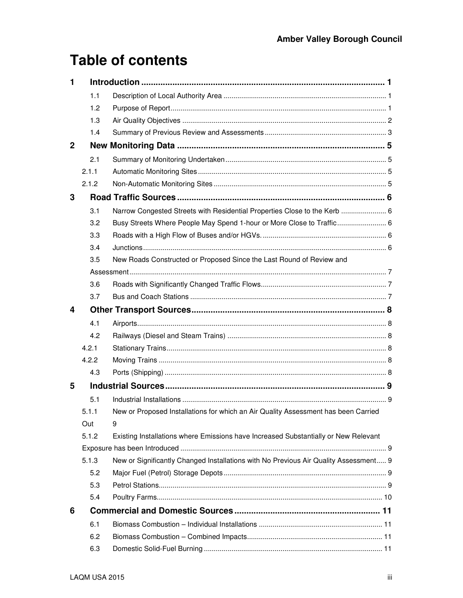## **Table of contents**

| 1            |       |                                                                                      |  |
|--------------|-------|--------------------------------------------------------------------------------------|--|
|              | 1.1   |                                                                                      |  |
|              | 1.2   |                                                                                      |  |
|              | 1.3   |                                                                                      |  |
|              | 1.4   |                                                                                      |  |
| $\mathbf{2}$ |       |                                                                                      |  |
|              | 2.1   |                                                                                      |  |
|              | 2.1.1 |                                                                                      |  |
|              | 2.1.2 |                                                                                      |  |
| 3            |       |                                                                                      |  |
|              | 3.1   | Narrow Congested Streets with Residential Properties Close to the Kerb  6            |  |
|              | 3.2   | Busy Streets Where People May Spend 1-hour or More Close to Traffic 6                |  |
|              | 3.3   |                                                                                      |  |
|              | 3.4   |                                                                                      |  |
|              | 3.5   | New Roads Constructed or Proposed Since the Last Round of Review and                 |  |
|              |       |                                                                                      |  |
|              | 3.6   |                                                                                      |  |
|              | 3.7   |                                                                                      |  |
| 4            |       |                                                                                      |  |
|              |       |                                                                                      |  |
|              | 4.1   |                                                                                      |  |
|              | 4.2   |                                                                                      |  |
|              | 4.2.1 |                                                                                      |  |
|              | 4.2.2 |                                                                                      |  |
|              | 4.3   |                                                                                      |  |
| 5            |       |                                                                                      |  |
|              | 5.1   |                                                                                      |  |
|              | 5.1.1 | New or Proposed Installations for which an Air Quality Assessment has been Carried   |  |
|              | Out   | 9                                                                                    |  |
|              | 5.1.2 | Existing Installations where Emissions have Increased Substantially or New Relevant  |  |
|              |       |                                                                                      |  |
|              | 5.1.3 | New or Significantly Changed Installations with No Previous Air Quality Assessment 9 |  |
|              | 5.2   |                                                                                      |  |
|              | 5.3   |                                                                                      |  |
|              | 5.4   |                                                                                      |  |
| 6            |       |                                                                                      |  |
|              | 6.1   |                                                                                      |  |
|              | 6.2   |                                                                                      |  |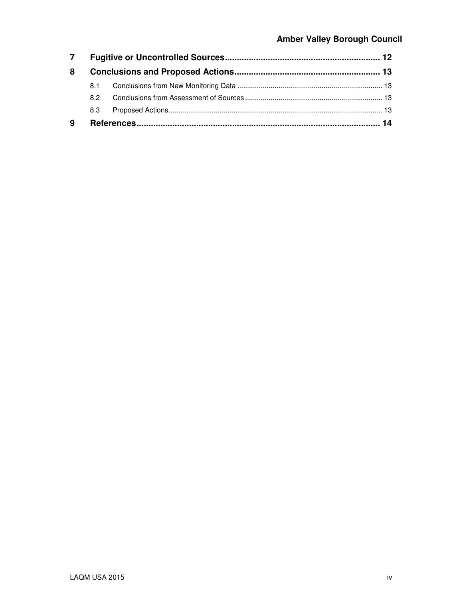#### **Amber Valley Borough Council**

| $\overline{7}$ |     |  |  |
|----------------|-----|--|--|
| 8              |     |  |  |
|                | 8.1 |  |  |
|                | 82  |  |  |
|                | 8.3 |  |  |
| 9              |     |  |  |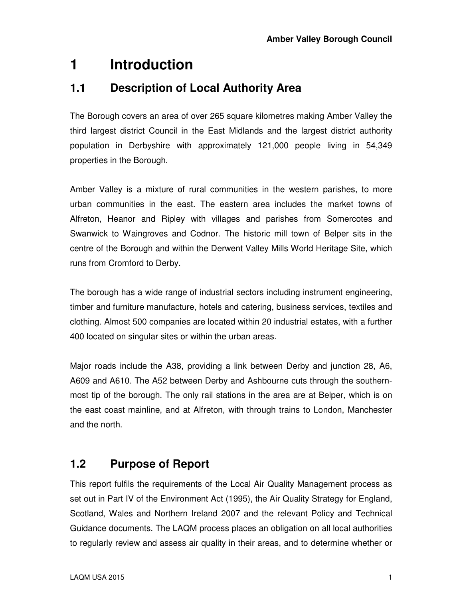## **1 Introduction**

#### **1.1 Description of Local Authority Area**

The Borough covers an area of over 265 square kilometres making Amber Valley the third largest district Council in the East Midlands and the largest district authority population in Derbyshire with approximately 121,000 people living in 54,349 properties in the Borough.

Amber Valley is a mixture of rural communities in the western parishes, to more urban communities in the east. The eastern area includes the market towns of Alfreton, Heanor and Ripley with villages and parishes from Somercotes and Swanwick to Waingroves and Codnor. The historic mill town of Belper sits in the centre of the Borough and within the Derwent Valley Mills World Heritage Site, which runs from Cromford to Derby.

The borough has a wide range of industrial sectors including instrument engineering, timber and furniture manufacture, hotels and catering, business services, textiles and clothing. Almost 500 companies are located within 20 industrial estates, with a further 400 located on singular sites or within the urban areas.

Major roads include the A38, providing a link between Derby and junction 28, A6, A609 and A610. The A52 between Derby and Ashbourne cuts through the southernmost tip of the borough. The only rail stations in the area are at Belper, which is on the east coast mainline, and at Alfreton, with through trains to London, Manchester and the north.

### **1.2 Purpose of Report**

This report fulfils the requirements of the Local Air Quality Management process as set out in Part IV of the Environment Act (1995), the Air Quality Strategy for England, Scotland, Wales and Northern Ireland 2007 and the relevant Policy and Technical Guidance documents. The LAQM process places an obligation on all local authorities to regularly review and assess air quality in their areas, and to determine whether or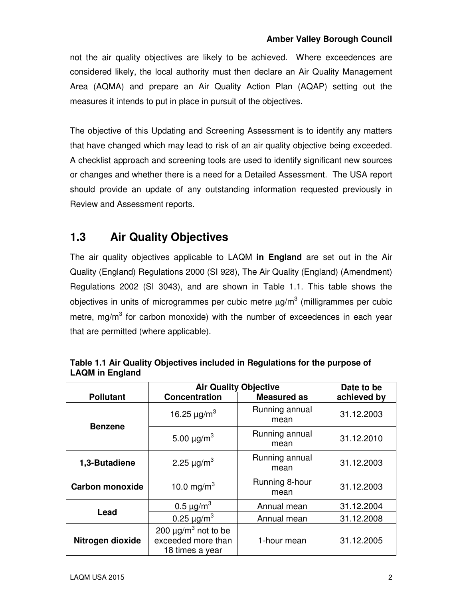not the air quality objectives are likely to be achieved. Where exceedences are considered likely, the local authority must then declare an Air Quality Management Area (AQMA) and prepare an Air Quality Action Plan (AQAP) setting out the measures it intends to put in place in pursuit of the objectives.

The objective of this Updating and Screening Assessment is to identify any matters that have changed which may lead to risk of an air quality objective being exceeded. A checklist approach and screening tools are used to identify significant new sources or changes and whether there is a need for a Detailed Assessment. The USA report should provide an update of any outstanding information requested previously in Review and Assessment reports.

### **1.3 Air Quality Objectives**

The air quality objectives applicable to LAQM **in England** are set out in the Air Quality (England) Regulations 2000 (SI 928), The Air Quality (England) (Amendment) Regulations 2002 (SI 3043), and are shown in Table 1.1. This table shows the objectives in units of microgrammes per cubic metre  $\mu$ g/m $^3$  (milligrammes per cubic metre, mg/m<sup>3</sup> for carbon monoxide) with the number of exceedences in each year that are permitted (where applicable).

|                        | <b>Air Quality Objective</b>                                                  | Date to be             |             |
|------------------------|-------------------------------------------------------------------------------|------------------------|-------------|
| <b>Pollutant</b>       | <b>Concentration</b>                                                          | <b>Measured as</b>     | achieved by |
| <b>Benzene</b>         | 16.25 $\mu$ g/m <sup>3</sup>                                                  | Running annual<br>mean | 31.12.2003  |
|                        | 5.00 $\mu$ g/m <sup>3</sup>                                                   | Running annual<br>mean | 31.12.2010  |
| 1,3-Butadiene          | 2.25 $\mu$ g/m <sup>3</sup>                                                   | Running annual<br>mean | 31.12.2003  |
| <b>Carbon monoxide</b> | 10.0 mg/m <sup>3</sup>                                                        | Running 8-hour<br>mean | 31.12.2003  |
|                        | 0.5 $\mu$ g/m <sup>3</sup>                                                    | Annual mean            | 31.12.2004  |
| Lead                   | 0.25 $\mu$ g/m <sup>3</sup>                                                   | Annual mean            | 31.12.2008  |
| Nitrogen dioxide       | 200 $\mu$ g/m <sup>3</sup> not to be<br>exceeded more than<br>18 times a year | 1-hour mean            | 31.12.2005  |

| Table 1.1 Air Quality Objectives included in Regulations for the purpose of |  |
|-----------------------------------------------------------------------------|--|
| <b>LAQM</b> in England                                                      |  |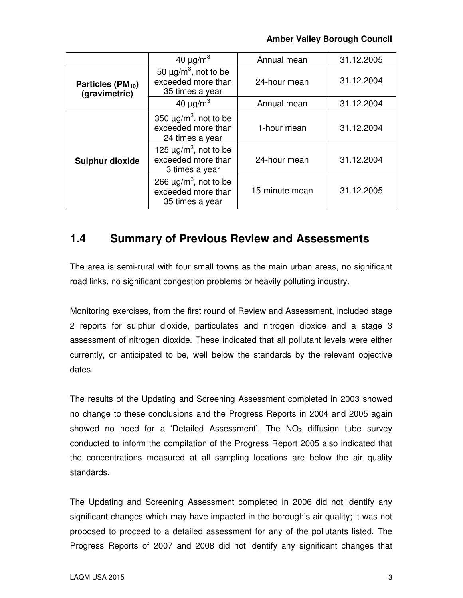#### **Amber Valley Borough Council**

|                                                | 40 $\mu$ g/m <sup>3</sup>                                                       | Annual mean    | 31.12.2005 |
|------------------------------------------------|---------------------------------------------------------------------------------|----------------|------------|
| Particles (PM <sub>10</sub> )<br>(gravimetric) | 50 $\mu$ g/m <sup>3</sup> , not to be<br>exceeded more than<br>35 times a year  | 24-hour mean   | 31.12.2004 |
|                                                | 40 $\mu$ g/m <sup>3</sup>                                                       | Annual mean    | 31.12.2004 |
|                                                | 350 $\mu$ g/m <sup>3</sup> , not to be<br>exceeded more than<br>24 times a year | 1-hour mean    | 31.12.2004 |
| <b>Sulphur dioxide</b>                         | 125 $\mu$ g/m <sup>3</sup> , not to be<br>exceeded more than<br>3 times a year  | 24-hour mean   | 31.12.2004 |
|                                                | 266 $\mu$ g/m <sup>3</sup> , not to be<br>exceeded more than<br>35 times a year | 15-minute mean | 31.12.2005 |

#### **1.4 Summary of Previous Review and Assessments**

The area is semi-rural with four small towns as the main urban areas, no significant road links, no significant congestion problems or heavily polluting industry.

Monitoring exercises, from the first round of Review and Assessment, included stage 2 reports for sulphur dioxide, particulates and nitrogen dioxide and a stage 3 assessment of nitrogen dioxide. These indicated that all pollutant levels were either currently, or anticipated to be, well below the standards by the relevant objective dates.

The results of the Updating and Screening Assessment completed in 2003 showed no change to these conclusions and the Progress Reports in 2004 and 2005 again showed no need for a 'Detailed Assessment'. The  $NO<sub>2</sub>$  diffusion tube survey conducted to inform the compilation of the Progress Report 2005 also indicated that the concentrations measured at all sampling locations are below the air quality standards.

The Updating and Screening Assessment completed in 2006 did not identify any significant changes which may have impacted in the borough's air quality; it was not proposed to proceed to a detailed assessment for any of the pollutants listed. The Progress Reports of 2007 and 2008 did not identify any significant changes that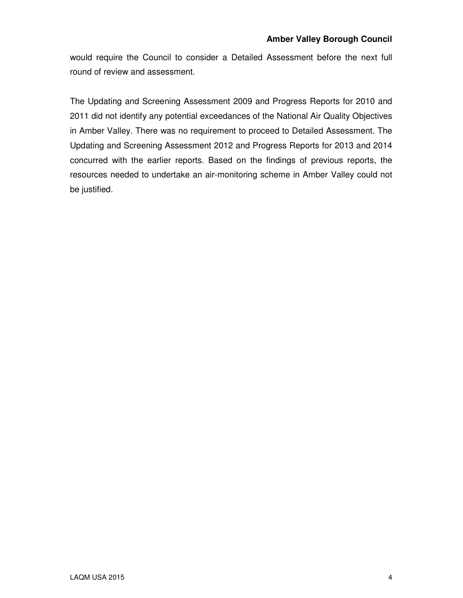would require the Council to consider a Detailed Assessment before the next full round of review and assessment.

The Updating and Screening Assessment 2009 and Progress Reports for 2010 and 2011 did not identify any potential exceedances of the National Air Quality Objectives in Amber Valley. There was no requirement to proceed to Detailed Assessment. The Updating and Screening Assessment 2012 and Progress Reports for 2013 and 2014 concurred with the earlier reports. Based on the findings of previous reports, the resources needed to undertake an air-monitoring scheme in Amber Valley could not be justified.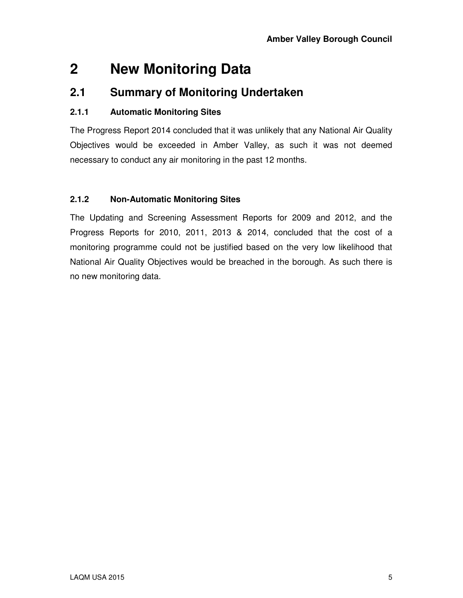## **2 New Monitoring Data**

#### **2.1 Summary of Monitoring Undertaken**

#### **2.1.1 Automatic Monitoring Sites**

The Progress Report 2014 concluded that it was unlikely that any National Air Quality Objectives would be exceeded in Amber Valley, as such it was not deemed necessary to conduct any air monitoring in the past 12 months.

#### **2.1.2 Non-Automatic Monitoring Sites**

The Updating and Screening Assessment Reports for 2009 and 2012, and the Progress Reports for 2010, 2011, 2013 & 2014, concluded that the cost of a monitoring programme could not be justified based on the very low likelihood that National Air Quality Objectives would be breached in the borough. As such there is no new monitoring data.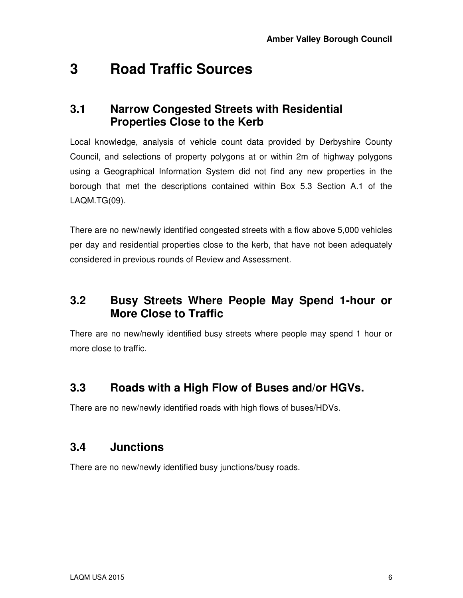## **3 Road Traffic Sources**

#### **3.1 Narrow Congested Streets with Residential Properties Close to the Kerb**

Local knowledge, analysis of vehicle count data provided by Derbyshire County Council, and selections of property polygons at or within 2m of highway polygons using a Geographical Information System did not find any new properties in the borough that met the descriptions contained within Box 5.3 Section A.1 of the LAQM.TG(09).

There are no new/newly identified congested streets with a flow above 5,000 vehicles per day and residential properties close to the kerb, that have not been adequately considered in previous rounds of Review and Assessment.

#### **3.2 Busy Streets Where People May Spend 1-hour or More Close to Traffic**

There are no new/newly identified busy streets where people may spend 1 hour or more close to traffic.

### **3.3 Roads with a High Flow of Buses and/or HGVs.**

There are no new/newly identified roads with high flows of buses/HDVs.

#### **3.4 Junctions**

There are no new/newly identified busy junctions/busy roads.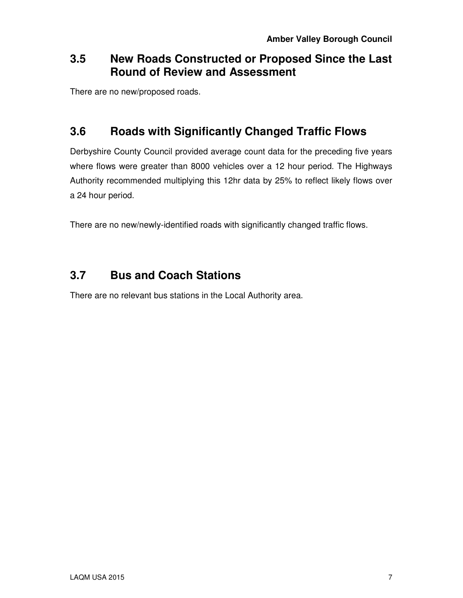### **3.5 New Roads Constructed or Proposed Since the Last Round of Review and Assessment**

There are no new/proposed roads.

### **3.6 Roads with Significantly Changed Traffic Flows**

Derbyshire County Council provided average count data for the preceding five years where flows were greater than 8000 vehicles over a 12 hour period. The Highways Authority recommended multiplying this 12hr data by 25% to reflect likely flows over a 24 hour period.

There are no new/newly-identified roads with significantly changed traffic flows.

### **3.7 Bus and Coach Stations**

There are no relevant bus stations in the Local Authority area.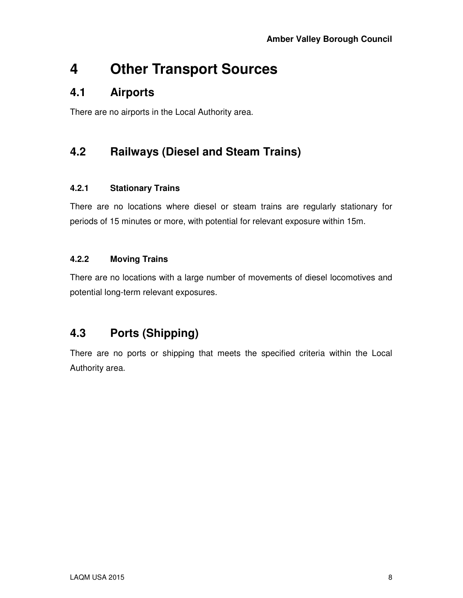## **4 Other Transport Sources**

#### **4.1 Airports**

There are no airports in the Local Authority area.

### **4.2 Railways (Diesel and Steam Trains)**

#### **4.2.1 Stationary Trains**

There are no locations where diesel or steam trains are regularly stationary for periods of 15 minutes or more, with potential for relevant exposure within 15m.

#### **4.2.2 Moving Trains**

There are no locations with a large number of movements of diesel locomotives and potential long-term relevant exposures.

### **4.3 Ports (Shipping)**

There are no ports or shipping that meets the specified criteria within the Local Authority area.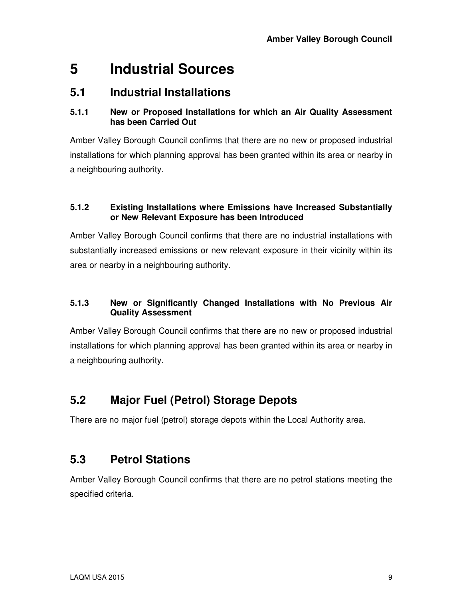## **5 Industrial Sources**

#### **5.1 Industrial Installations**

#### **5.1.1 New or Proposed Installations for which an Air Quality Assessment has been Carried Out**

Amber Valley Borough Council confirms that there are no new or proposed industrial installations for which planning approval has been granted within its area or nearby in a neighbouring authority.

#### **5.1.2 Existing Installations where Emissions have Increased Substantially or New Relevant Exposure has been Introduced**

Amber Valley Borough Council confirms that there are no industrial installations with substantially increased emissions or new relevant exposure in their vicinity within its area or nearby in a neighbouring authority.

#### **5.1.3 New or Significantly Changed Installations with No Previous Air Quality Assessment**

Amber Valley Borough Council confirms that there are no new or proposed industrial installations for which planning approval has been granted within its area or nearby in a neighbouring authority.

### **5.2 Major Fuel (Petrol) Storage Depots**

There are no major fuel (petrol) storage depots within the Local Authority area.

### **5.3 Petrol Stations**

Amber Valley Borough Council confirms that there are no petrol stations meeting the specified criteria.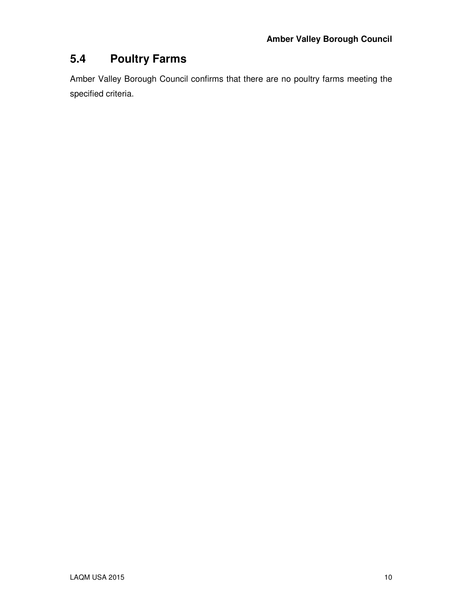### **5.4 Poultry Farms**

Amber Valley Borough Council confirms that there are no poultry farms meeting the specified criteria.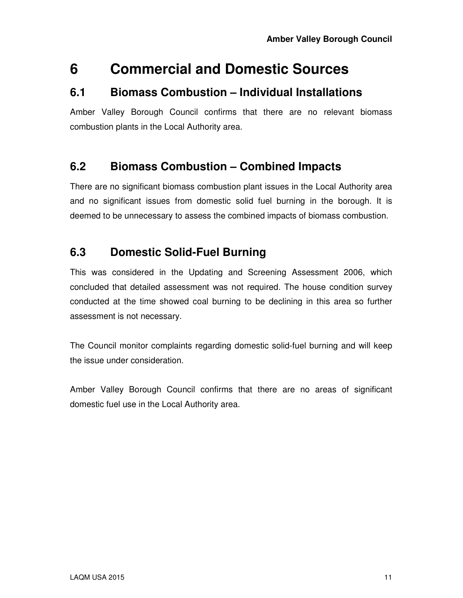### **6 Commercial and Domestic Sources**

#### **6.1 Biomass Combustion – Individual Installations**

Amber Valley Borough Council confirms that there are no relevant biomass combustion plants in the Local Authority area.

#### **6.2 Biomass Combustion – Combined Impacts**

There are no significant biomass combustion plant issues in the Local Authority area and no significant issues from domestic solid fuel burning in the borough. It is deemed to be unnecessary to assess the combined impacts of biomass combustion.

#### **6.3 Domestic Solid-Fuel Burning**

This was considered in the Updating and Screening Assessment 2006, which concluded that detailed assessment was not required. The house condition survey conducted at the time showed coal burning to be declining in this area so further assessment is not necessary.

The Council monitor complaints regarding domestic solid-fuel burning and will keep the issue under consideration.

Amber Valley Borough Council confirms that there are no areas of significant domestic fuel use in the Local Authority area.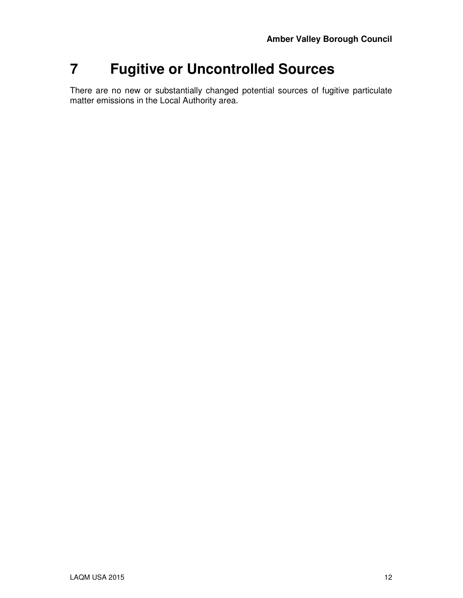## **7 Fugitive or Uncontrolled Sources**

There are no new or substantially changed potential sources of fugitive particulate matter emissions in the Local Authority area.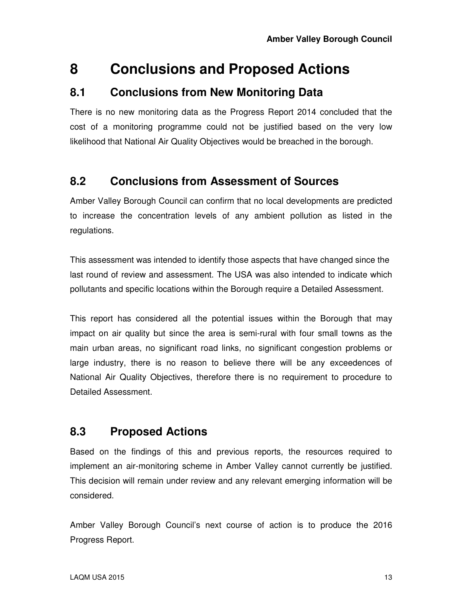## **8 Conclusions and Proposed Actions**

#### **8.1 Conclusions from New Monitoring Data**

There is no new monitoring data as the Progress Report 2014 concluded that the cost of a monitoring programme could not be justified based on the very low likelihood that National Air Quality Objectives would be breached in the borough.

### **8.2 Conclusions from Assessment of Sources**

Amber Valley Borough Council can confirm that no local developments are predicted to increase the concentration levels of any ambient pollution as listed in the regulations.

This assessment was intended to identify those aspects that have changed since the last round of review and assessment. The USA was also intended to indicate which pollutants and specific locations within the Borough require a Detailed Assessment.

This report has considered all the potential issues within the Borough that may impact on air quality but since the area is semi-rural with four small towns as the main urban areas, no significant road links, no significant congestion problems or large industry, there is no reason to believe there will be any exceedences of National Air Quality Objectives, therefore there is no requirement to procedure to Detailed Assessment.

### **8.3 Proposed Actions**

Based on the findings of this and previous reports, the resources required to implement an air-monitoring scheme in Amber Valley cannot currently be justified. This decision will remain under review and any relevant emerging information will be considered.

Amber Valley Borough Council's next course of action is to produce the 2016 Progress Report.